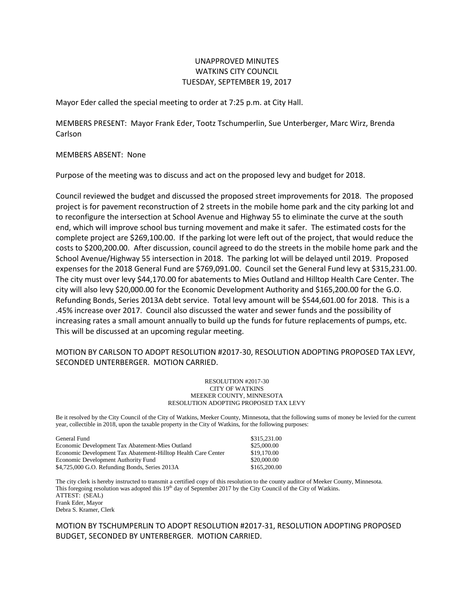## UNAPPROVED MINUTES WATKINS CITY COUNCIL TUESDAY, SEPTEMBER 19, 2017

Mayor Eder called the special meeting to order at 7:25 p.m. at City Hall.

MEMBERS PRESENT: Mayor Frank Eder, Tootz Tschumperlin, Sue Unterberger, Marc Wirz, Brenda Carlson

MEMBERS ABSENT: None

Purpose of the meeting was to discuss and act on the proposed levy and budget for 2018.

Council reviewed the budget and discussed the proposed street improvements for 2018. The proposed project is for pavement reconstruction of 2 streets in the mobile home park and the city parking lot and to reconfigure the intersection at School Avenue and Highway 55 to eliminate the curve at the south end, which will improve school bus turning movement and make it safer. The estimated costs for the complete project are \$269,100.00. If the parking lot were left out of the project, that would reduce the costs to \$200,200.00. After discussion, council agreed to do the streets in the mobile home park and the School Avenue/Highway 55 intersection in 2018. The parking lot will be delayed until 2019. Proposed expenses for the 2018 General Fund are \$769,091.00. Council set the General Fund levy at \$315,231.00. The city must over levy \$44,170.00 for abatements to Mies Outland and Hilltop Health Care Center. The city will also levy \$20,000.00 for the Economic Development Authority and \$165,200.00 for the G.O. Refunding Bonds, Series 2013A debt service. Total levy amount will be \$544,601.00 for 2018. This is a .45% increase over 2017. Council also discussed the water and sewer funds and the possibility of increasing rates a small amount annually to build up the funds for future replacements of pumps, etc. This will be discussed at an upcoming regular meeting.

## MOTION BY CARLSON TO ADOPT RESOLUTION #2017-30, RESOLUTION ADOPTING PROPOSED TAX LEVY, SECONDED UNTERBERGER. MOTION CARRIED.

## RESOLUTION #2017-30 CITY OF WATKINS MEEKER COUNTY, MINNESOTA RESOLUTION ADOPTING PROPOSED TAX LEVY

Be it resolved by the City Council of the City of Watkins, Meeker County, Minnesota, that the following sums of money be levied for the current year, collectible in 2018, upon the taxable property in the City of Watkins, for the following purposes:

| General Fund                                                  | \$315,231,00 |
|---------------------------------------------------------------|--------------|
| Economic Development Tax Abatement-Mies Outland               | \$25,000.00  |
| Economic Development Tax Abatement-Hilltop Health Care Center | \$19,170.00  |
| Economic Development Authority Fund                           | \$20,000.00  |
| \$4,725,000 G.O. Refunding Bonds, Series 2013A                | \$165,200,00 |

The city clerk is hereby instructed to transmit a certified copy of this resolution to the county auditor of Meeker County, Minnesota. This foregoing resolution was adopted this  $19<sup>th</sup>$  day of September 2017 by the City Council of the City of Watkins. ATTEST: (SEAL) Frank Eder, Mayor Debra S. Kramer, Clerk

MOTION BY TSCHUMPERLIN TO ADOPT RESOLUTION #2017-31, RESOLUTION ADOPTING PROPOSED BUDGET, SECONDED BY UNTERBERGER. MOTION CARRIED.